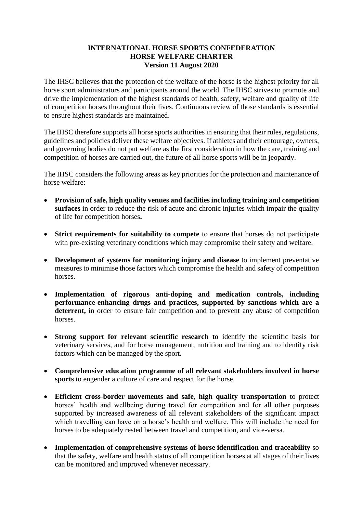## **INTERNATIONAL HORSE SPORTS CONFEDERATION HORSE WELFARE CHARTER Version 11 August 2020**

The IHSC believes that the protection of the welfare of the horse is the highest priority for all horse sport administrators and participants around the world. The IHSC strives to promote and drive the implementation of the highest standards of health, safety, welfare and quality of life of competition horses throughout their lives. Continuous review of those standards is essential to ensure highest standards are maintained.

The IHSC therefore supports all horse sports authorities in ensuring that their rules, regulations, guidelines and policies deliver these welfare objectives. If athletes and their entourage, owners, and governing bodies do not put welfare as the first consideration in how the care, training and competition of horses are carried out, the future of all horse sports will be in jeopardy.

The IHSC considers the following areas as key priorities for the protection and maintenance of horse welfare:

- **Provision of safe, high quality venues and facilities including training and competition surfaces** in order to reduce the risk of acute and chronic injuries which impair the quality of life for competition horses**.**
- **Strict requirements for suitability to compete** to ensure that horses do not participate with pre-existing veterinary conditions which may compromise their safety and welfare.
- **Development of systems for monitoring injury and disease** to implement preventative measures to minimise those factors which compromise the health and safety of competition horses.
- **Implementation of rigorous anti-doping and medication controls, including performance-enhancing drugs and practices, supported by sanctions which are a**  deterrent, in order to ensure fair competition and to prevent any abuse of competition horses.
- Strong support for relevant scientific research to identify the scientific basis for veterinary services, and for horse management, nutrition and training and to identify risk factors which can be managed by the sport**.**
- **Comprehensive education programme of all relevant stakeholders involved in horse sports** to engender a culture of care and respect for the horse.
- **Efficient cross-border movements and safe, high quality transportation** to protect horses' health and wellbeing during travel for competition and for all other purposes supported by increased awareness of all relevant stakeholders of the significant impact which travelling can have on a horse's health and welfare. This will include the need for horses to be adequately rested between travel and competition, and vice-versa.
- **Implementation of comprehensive systems of horse identification and traceability** so that the safety, welfare and health status of all competition horses at all stages of their lives can be monitored and improved whenever necessary.